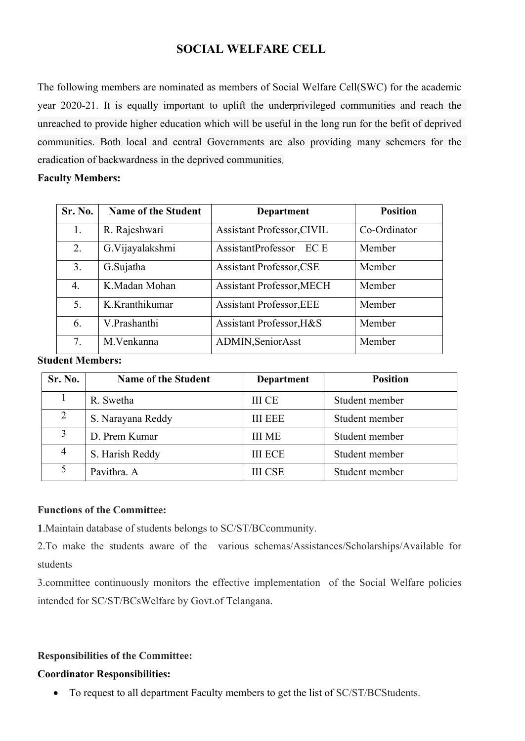# **SOCIAL WELFARE CELL**

The following members are nominated as members of Social Welfare Cell(SWC) for the academic year 2020-21. It is equally important to uplift the underprivileged communities and reach the unreached to provide higher education which will be useful in the long run for the befit of deprived communities. Both local and central Governments are also providing many schemers for the eradication of backwardness in the deprived communities.

#### **Faculty Members:**

| Sr. No.          | <b>Name of the Student</b> | <b>Department</b>                 | <b>Position</b> |
|------------------|----------------------------|-----------------------------------|-----------------|
| 1.               | R. Rajeshwari              | <b>Assistant Professor, CIVIL</b> | Co-Ordinator    |
| 2.               | G.Vijayalakshmi            | AssistantProfessor<br>EC E        | Member          |
| 3.               | G.Sujatha                  | <b>Assistant Professor, CSE</b>   | Member          |
| $\overline{4}$ . | K.Madan Mohan              | <b>Assistant Professor, MECH</b>  | Member          |
| 5.               | K.Kranthikumar             | <b>Assistant Professor, EEE</b>   | Member          |
| 6.               | V.Prashanthi               | Assistant Professor, H&S          | Member          |
| 7.               | M.Venkanna                 | ADMIN, Senior Asst                | Member          |

#### **Student Members:**

| <b>Sr. No.</b> | <b>Name of the Student</b> | <b>Department</b> | <b>Position</b> |
|----------------|----------------------------|-------------------|-----------------|
|                | R. Swetha                  | <b>III CE</b>     | Student member  |
|                | S. Narayana Reddy          | <b>III EEE</b>    | Student member  |
|                | D. Prem Kumar              | <b>III ME</b>     | Student member  |
|                | S. Harish Reddy            | <b>III ECE</b>    | Student member  |
|                | Pavithra. A                | <b>III CSE</b>    | Student member  |

#### **Functions of the Committee:**

**1**.Maintain database of students belongs to SC/ST/BCcommunity.

2.To make the students aware of the various schemas/Assistances/Scholarships/Available for students

3.committee continuously monitors the effective implementation of the Social Welfare policies intended for SC/ST/BCsWelfare by Govt.of Telangana.

## **Responsibilities of the Committee:**

## **Coordinator Responsibilities:**

• To request to all department Faculty members to get the list of SC/ST/BCStudents.